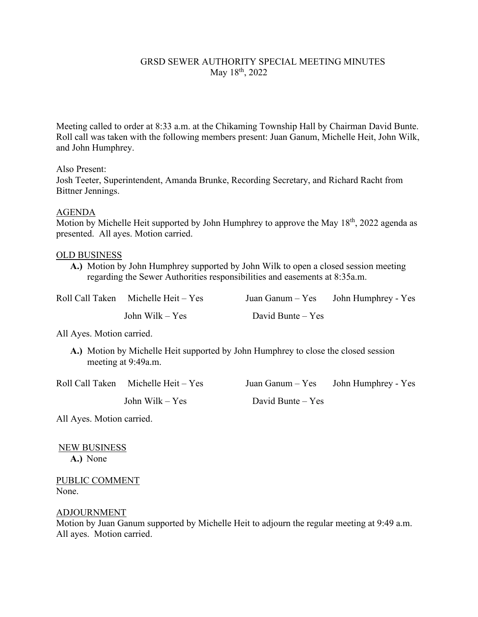# GRSD SEWER AUTHORITY SPECIAL MEETING MINUTES May 18<sup>th</sup>, 2022

Meeting called to order at 8:33 a.m. at the Chikaming Township Hall by Chairman David Bunte. Roll call was taken with the following members present: Juan Ganum, Michelle Heit, John Wilk, and John Humphrey.

## Also Present:

Josh Teeter, Superintendent, Amanda Brunke, Recording Secretary, and Richard Racht from Bittner Jennings.

## AGENDA

Motion by Michelle Heit supported by John Humphrey to approve the May  $18<sup>th</sup>$ , 2022 agenda as presented. All ayes. Motion carried.

## OLD BUSINESS

**A.)** Motion by John Humphrey supported by John Wilk to open a closed session meeting regarding the Sewer Authorities responsibilities and easements at 8:35a.m.

| Roll Call Taken Michelle Heit - Yes |                     | Juan Ganum – Yes John Humphrey - Yes |
|-------------------------------------|---------------------|--------------------------------------|
| John Wilk $-$ Yes                   | David Bunte $-$ Yes |                                      |

All Ayes. Motion carried.

**A.)** Motion by Michelle Heit supported by John Humphrey to close the closed session meeting at 9:49a.m.

| Roll Call Taken Michelle Heit - Yes |                     | Juan Ganum $-$ Yes John Humphrey - Yes |
|-------------------------------------|---------------------|----------------------------------------|
| John Wilk $-$ Yes                   | David Bunte $-$ Yes |                                        |

All Ayes. Motion carried.

NEW BUSINESS

**A.)** None

PUBLIC COMMENT None.

### ADJOURNMENT

Motion by Juan Ganum supported by Michelle Heit to adjourn the regular meeting at 9:49 a.m. All ayes. Motion carried.